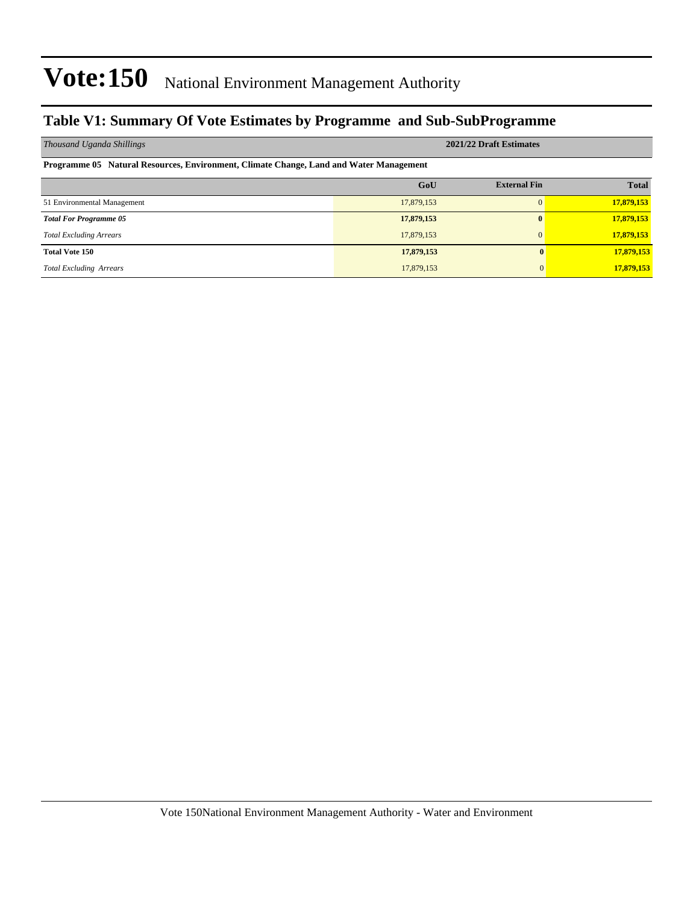### **Table V1: Summary Of Vote Estimates by Programme and Sub-SubProgramme**

| Thousand Uganda Shillings                                                              | 2021/22 Draft Estimates |                     |              |  |  |  |  |  |
|----------------------------------------------------------------------------------------|-------------------------|---------------------|--------------|--|--|--|--|--|
| Programme 05 Natural Resources, Environment, Climate Change, Land and Water Management |                         |                     |              |  |  |  |  |  |
|                                                                                        | GoU                     | <b>External Fin</b> | <b>Total</b> |  |  |  |  |  |
| 51 Environmental Management                                                            | 17,879,153              |                     | 17,879,153   |  |  |  |  |  |
| <b>Total For Programme 05</b>                                                          | 17,879,153              | $\mathbf{0}$        | 17,879,153   |  |  |  |  |  |
| <b>Total Excluding Arrears</b>                                                         | 17,879,153              | 0                   | 17,879,153   |  |  |  |  |  |
| <b>Total Vote 150</b>                                                                  | 17,879,153              | $\mathbf{0}$        | 17,879,153   |  |  |  |  |  |
| <b>Total Excluding Arrears</b>                                                         | 17,879,153              | $\mathbf{0}$        | 17,879,153   |  |  |  |  |  |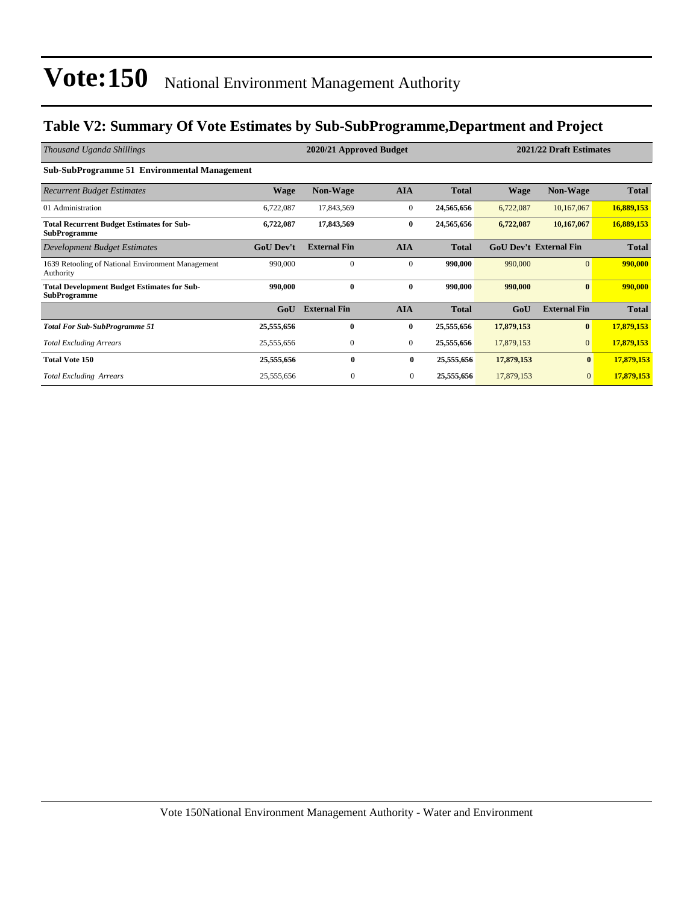### **Table V2: Summary Of Vote Estimates by Sub-SubProgramme,Department and Project**

| Thousand Uganda Shillings                                                 |                  | 2021/22 Draft Estimates |              |              |             |                               |              |
|---------------------------------------------------------------------------|------------------|-------------------------|--------------|--------------|-------------|-------------------------------|--------------|
| <b>Sub-SubProgramme 51 Environmental Management</b>                       |                  |                         |              |              |             |                               |              |
| <b>Recurrent Budget Estimates</b>                                         | <b>Wage</b>      | <b>Non-Wage</b>         | <b>AIA</b>   | <b>Total</b> | <b>Wage</b> | <b>Non-Wage</b>               | <b>Total</b> |
| 01 Administration                                                         | 6,722,087        | 17,843,569              | $\mathbf{0}$ | 24,565,656   | 6,722,087   | 10,167,067                    | 16,889,153   |
| <b>Total Recurrent Budget Estimates for Sub-</b><br><b>SubProgramme</b>   | 6,722,087        | 17,843,569              | $\bf{0}$     | 24,565,656   | 6,722,087   | 10,167,067                    | 16,889,153   |
| <b>Development Budget Estimates</b>                                       | <b>GoU Dev't</b> | <b>External Fin</b>     | <b>AIA</b>   | <b>Total</b> |             | <b>GoU Dev't External Fin</b> | <b>Total</b> |
| 1639 Retooling of National Environment Management<br>Authority            | 990,000          | $\mathbf{0}$            | $\mathbf{0}$ | 990,000      | 990,000     | $\mathbf{0}$                  | 990,000      |
| <b>Total Development Budget Estimates for Sub-</b><br><b>SubProgramme</b> | 990,000          | $\mathbf{0}$            | $\bf{0}$     | 990,000      | 990,000     | $\bf{0}$                      | 990,000      |
|                                                                           | GoU              | <b>External Fin</b>     | <b>AIA</b>   | <b>Total</b> | GoU         | <b>External Fin</b>           | <b>Total</b> |
| <b>Total For Sub-SubProgramme 51</b>                                      | 25,555,656       | $\bf{0}$                | $\bf{0}$     | 25,555,656   | 17,879,153  | $\bf{0}$                      | 17,879,153   |
| <b>Total Excluding Arrears</b>                                            | 25,555,656       | $\mathbf{0}$            | $\mathbf{0}$ | 25,555,656   | 17,879,153  | $\mathbf{0}$                  | 17,879,153   |
| <b>Total Vote 150</b>                                                     | 25,555,656       | $\mathbf{0}$            | 0            | 25,555,656   | 17,879,153  | $\mathbf{0}$                  | 17,879,153   |
| <b>Total Excluding Arrears</b>                                            | 25,555,656       | $\mathbf{0}$            | $\mathbf{0}$ | 25,555,656   | 17,879,153  | $\mathbf{0}$                  | 17,879,153   |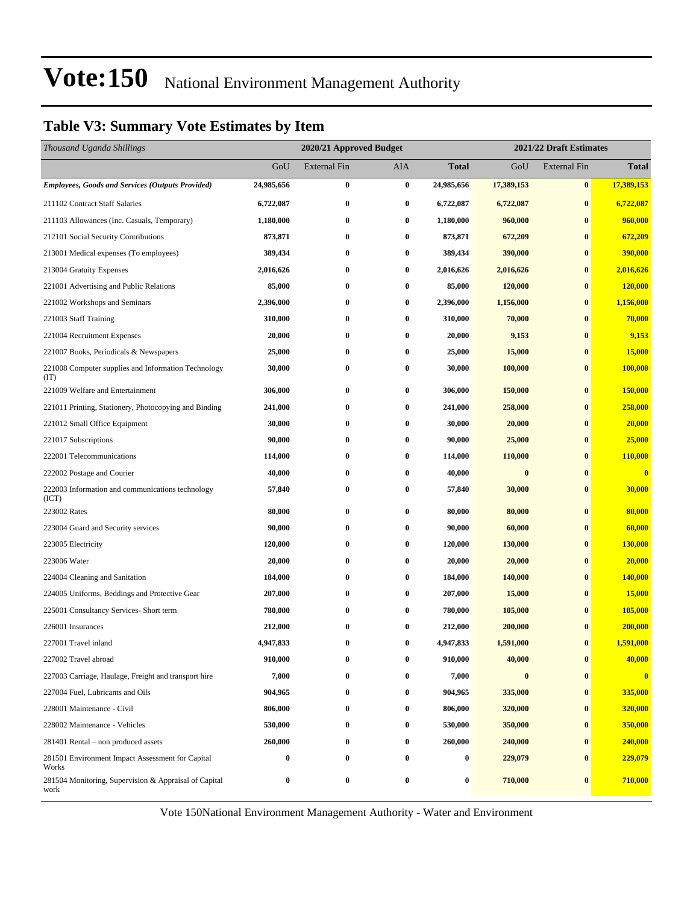### **Table V3: Summary Vote Estimates by Item**

| Thousand Uganda Shillings                                     |            | 2021/22 Draft Estimates<br>2020/21 Approved Budget |          |            |            |                     |                |
|---------------------------------------------------------------|------------|----------------------------------------------------|----------|------------|------------|---------------------|----------------|
|                                                               | GoU        | <b>External Fin</b>                                | AIA      | Total      | GoU        | <b>External Fin</b> | <b>Total</b>   |
| <b>Employees, Goods and Services (Outputs Provided)</b>       | 24,985,656 | $\bf{0}$                                           | $\bf{0}$ | 24,985,656 | 17,389,153 | $\pmb{0}$           | 17,389,153     |
| 211102 Contract Staff Salaries                                | 6,722,087  | $\bf{0}$                                           | $\bf{0}$ | 6,722,087  | 6,722,087  | $\bf{0}$            | 6,722,087      |
| 211103 Allowances (Inc. Casuals, Temporary)                   | 1,180,000  | $\bf{0}$                                           | $\bf{0}$ | 1,180,000  | 960,000    | $\bf{0}$            | 960,000        |
| 212101 Social Security Contributions                          | 873,871    | $\bf{0}$                                           | $\bf{0}$ | 873,871    | 672,209    | $\bf{0}$            | 672,209        |
| 213001 Medical expenses (To employees)                        | 389,434    | $\bf{0}$                                           | 0        | 389,434    | 390,000    | $\bf{0}$            | 390,000        |
| 213004 Gratuity Expenses                                      | 2,016,626  | $\bf{0}$                                           | $\bf{0}$ | 2,016,626  | 2,016,626  | $\bf{0}$            | 2,016,626      |
| 221001 Advertising and Public Relations                       | 85,000     | $\bf{0}$                                           | $\bf{0}$ | 85,000     | 120,000    | $\bf{0}$            | 120,000        |
| 221002 Workshops and Seminars                                 | 2,396,000  | $\bf{0}$                                           | $\bf{0}$ | 2,396,000  | 1,156,000  | $\bf{0}$            | 1,156,000      |
| 221003 Staff Training                                         | 310,000    | $\bf{0}$                                           | $\bf{0}$ | 310,000    | 70,000     | $\bf{0}$            | 70,000         |
| 221004 Recruitment Expenses                                   | 20,000     | $\bf{0}$                                           | $\bf{0}$ | 20,000     | 9,153      | $\bf{0}$            | 9,153          |
| 221007 Books, Periodicals & Newspapers                        | 25,000     | $\bf{0}$                                           | $\bf{0}$ | 25,000     | 15,000     | $\bf{0}$            | 15,000         |
| 221008 Computer supplies and Information Technology<br>(TT)   | 30,000     | $\bf{0}$                                           | $\bf{0}$ | 30,000     | 100,000    | $\bf{0}$            | 100,000        |
| 221009 Welfare and Entertainment                              | 306,000    | $\bf{0}$                                           | $\bf{0}$ | 306,000    | 150,000    | $\bf{0}$            | 150,000        |
| 221011 Printing, Stationery, Photocopying and Binding         | 241,000    | $\bf{0}$                                           | $\bf{0}$ | 241,000    | 258,000    | $\bf{0}$            | 258,000        |
| 221012 Small Office Equipment                                 | 30,000     | $\bf{0}$                                           | $\bf{0}$ | 30,000     | 20,000     | $\bf{0}$            | 20,000         |
| 221017 Subscriptions                                          | 90,000     | $\bf{0}$                                           | 0        | 90,000     | 25,000     | $\bf{0}$            | 25,000         |
| 222001 Telecommunications                                     | 114,000    | $\bf{0}$                                           | 0        | 114,000    | 110,000    | $\bf{0}$            | <b>110,000</b> |
| 222002 Postage and Courier                                    | 40,000     | $\bf{0}$                                           | $\bf{0}$ | 40,000     | $\bf{0}$   | $\bf{0}$            | $\bf{0}$       |
| 222003 Information and communications technology<br>(ICT)     | 57,840     | $\bf{0}$                                           | 0        | 57,840     | 30,000     | $\bf{0}$            | 30,000         |
| 223002 Rates                                                  | 80,000     | $\bf{0}$                                           | $\bf{0}$ | 80,000     | 80,000     | $\bf{0}$            | 80,000         |
| 223004 Guard and Security services                            | 90,000     | $\bf{0}$                                           | $\bf{0}$ | 90,000     | 60,000     | $\bf{0}$            | 60,000         |
| 223005 Electricity                                            | 120,000    | $\bf{0}$                                           | 0        | 120,000    | 130,000    | $\bf{0}$            | 130,000        |
| 223006 Water                                                  | 20,000     | $\bf{0}$                                           | 0        | 20,000     | 20,000     | $\bf{0}$            | 20,000         |
| 224004 Cleaning and Sanitation                                | 184,000    | $\bf{0}$                                           | $\bf{0}$ | 184,000    | 140,000    | $\bf{0}$            | 140,000        |
| 224005 Uniforms, Beddings and Protective Gear                 | 207,000    | $\bf{0}$                                           | 0        | 207,000    | 15,000     | $\bf{0}$            | 15,000         |
| 225001 Consultancy Services- Short term                       | 780,000    | $\bf{0}$                                           | $\bf{0}$ | 780,000    | 105,000    | $\bf{0}$            | 105,000        |
| 226001 Insurances                                             | 212,000    | $\bf{0}$                                           | $\bf{0}$ | 212,000    | 200,000    | $\bf{0}$            | 200,000        |
| 227001 Travel inland                                          | 4,947,833  | $\bf{0}$                                           | $\bf{0}$ | 4,947,833  | 1,591,000  | $\bf{0}$            | 1,591,000      |
| 227002 Travel abroad                                          | 910,000    | 0                                                  | $\bf{0}$ | 910,000    | 40,000     | $\bf{0}$            | 40,000         |
| 227003 Carriage, Haulage, Freight and transport hire          | 7,000      | $\bf{0}$                                           | $\bf{0}$ | 7,000      | $\bf{0}$   | $\bf{0}$            | $\mathbf{0}$   |
| 227004 Fuel, Lubricants and Oils                              | 904,965    | $\bf{0}$                                           | 0        | 904,965    | 335,000    | $\bf{0}$            | 335,000        |
| 228001 Maintenance - Civil                                    | 806,000    | $\bf{0}$                                           | $\bf{0}$ | 806,000    | 320,000    | $\bf{0}$            | 320,000        |
| 228002 Maintenance - Vehicles                                 | 530,000    | $\bf{0}$                                           | $\bf{0}$ | 530,000    | 350,000    | $\bf{0}$            | 350,000        |
| 281401 Rental – non produced assets                           | 260,000    | $\bf{0}$                                           | $\bf{0}$ | 260,000    | 240,000    | $\bf{0}$            | 240,000        |
| 281501 Environment Impact Assessment for Capital<br>Works     | $\bf{0}$   | $\bf{0}$                                           | $\bf{0}$ | 0          | 229,079    | $\bf{0}$            | 229,079        |
| 281504 Monitoring, Supervision & Appraisal of Capital<br>work | $\bf{0}$   | $\bf{0}$                                           | $\bf{0}$ | 0          | 710,000    | $\bf{0}$            | 710,000        |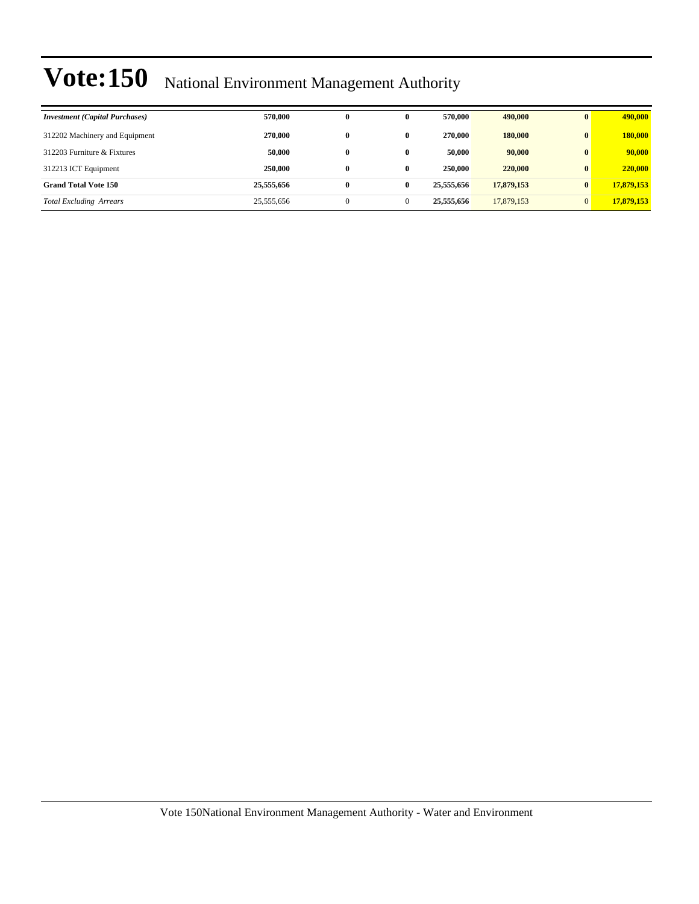| <b>Investment</b> (Capital Purchases) | 570,000    | 0            | 0            | 570,000    | 490,000    | $\mathbf{0}$ | 490,000    |
|---------------------------------------|------------|--------------|--------------|------------|------------|--------------|------------|
| 312202 Machinery and Equipment        | 270,000    | $\mathbf{0}$ | $\mathbf{0}$ | 270,000    | 180,000    | $\mathbf{0}$ | 180,000    |
| 312203 Furniture & Fixtures           | 50,000     | $\bf{0}$     | $\mathbf{0}$ | 50,000     | 90,000     | $\mathbf{0}$ | 90,000     |
| 312213 ICT Equipment                  | 250,000    | $\mathbf{0}$ | $\bf{0}$     | 250,000    | 220,000    | $\mathbf{0}$ | 220,000    |
| <b>Grand Total Vote 150</b>           | 25,555,656 | $\bf{0}$     | $\mathbf{0}$ | 25,555,656 | 17,879,153 | $\mathbf{0}$ | 17,879,153 |
| <b>Total Excluding Arrears</b>        | 25,555,656 | $\theta$     |              | 25,555,656 | 17,879,153 | $\Omega$     | 17,879,153 |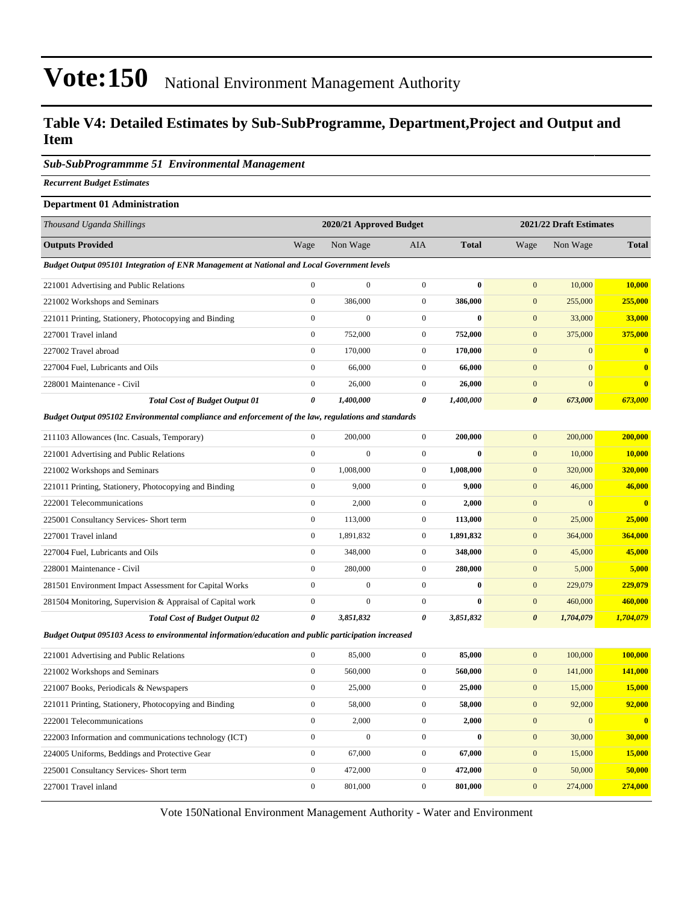#### **Table V4: Detailed Estimates by Sub-SubProgramme, Department,Project and Output and Item**

#### *Sub-SubProgrammme 51 Environmental Management*

*Recurrent Budget Estimates*

#### **Department 01 Administration**

| Thousand Uganda Shillings                                                                           |                | 2020/21 Approved Budget |              |              |                       | 2021/22 Draft Estimates |                         |
|-----------------------------------------------------------------------------------------------------|----------------|-------------------------|--------------|--------------|-----------------------|-------------------------|-------------------------|
| <b>Outputs Provided</b>                                                                             | Wage           | Non Wage                | <b>AIA</b>   | <b>Total</b> | Wage                  | Non Wage                | <b>Total</b>            |
| Budget Output 095101 Integration of ENR Management at National and Local Government levels          |                |                         |              |              |                       |                         |                         |
| 221001 Advertising and Public Relations                                                             | $\mathbf{0}$   | $\mathbf{0}$            | $\mathbf{0}$ | $\bf{0}$     | $\mathbf{0}$          | 10,000                  | 10,000                  |
| 221002 Workshops and Seminars                                                                       | $\mathbf{0}$   | 386,000                 | $\mathbf{0}$ | 386,000      | $\mathbf{0}$          | 255,000                 | 255,000                 |
| 221011 Printing, Stationery, Photocopying and Binding                                               | $\mathbf{0}$   | $\boldsymbol{0}$        | $\mathbf{0}$ | $\bf{0}$     | $\mathbf{0}$          | 33,000                  | 33,000                  |
| 227001 Travel inland                                                                                | $\overline{0}$ | 752,000                 | $\mathbf{0}$ | 752,000      | $\mathbf{0}$          | 375,000                 | 375,000                 |
| 227002 Travel abroad                                                                                | $\mathbf{0}$   | 170,000                 | $\Omega$     | 170,000      | $\mathbf{0}$          | $\mathbf{0}$            |                         |
| 227004 Fuel, Lubricants and Oils                                                                    | $\mathbf{0}$   | 66,000                  | $\mathbf{0}$ | 66,000       | $\mathbf{0}$          | $\mathbf{0}$            | $\bf{0}$                |
| 228001 Maintenance - Civil                                                                          | $\overline{0}$ | 26,000                  | $\mathbf{0}$ | 26,000       | $\mathbf{0}$          | $\mathbf{0}$            | $\overline{\mathbf{0}}$ |
| <b>Total Cost of Budget Output 01</b>                                                               | 0              | 1,400,000               | 0            | 1,400,000    | $\boldsymbol{\theta}$ | 673,000                 | 673,000                 |
| Budget Output 095102 Environmental compliance and enforcement of the law, regulations and standards |                |                         |              |              |                       |                         |                         |
| 211103 Allowances (Inc. Casuals, Temporary)                                                         | $\overline{0}$ | 200,000                 | $\mathbf{0}$ | 200,000      | $\mathbf{0}$          | 200,000                 | 200,000                 |
| 221001 Advertising and Public Relations                                                             | $\mathbf{0}$   | $\mathbf{0}$            | $\Omega$     | $\mathbf{0}$ | $\mathbf{0}$          | 10,000                  | <b>10,000</b>           |
| 221002 Workshops and Seminars                                                                       | $\overline{0}$ | 1,008,000               | $\mathbf{0}$ | 1,008,000    | $\mathbf{0}$          | 320,000                 | 320,000                 |
| 221011 Printing, Stationery, Photocopying and Binding                                               | $\mathbf{0}$   | 9,000                   | $\mathbf{0}$ | 9,000        | $\mathbf{0}$          | 46,000                  | 46,000                  |
| 222001 Telecommunications                                                                           | $\Omega$       | 2,000                   | $\mathbf{0}$ | 2,000        | $\mathbf{0}$          | $\mathbf{0}$            | $\mathbf{0}$            |
| 225001 Consultancy Services- Short term                                                             | $\mathbf{0}$   | 113,000                 | $\mathbf{0}$ | 113,000      | $\mathbf{0}$          | 25,000                  | 25,000                  |
|                                                                                                     |                |                         |              |              |                       |                         |                         |

227001 Travel inland 0 1,891,832 0 **1,891,832** 0 364,000 **364,000** 227004 Fuel, Lubricants and Oils 0 348,000 0 **348,000** 0 45,000 **45,000** 228001 Maintenance - Civil 0 280,000 0 **280,000** 0 5,000 **5,000** 281501 Environment Impact Assessment for Capital Works 0 0 0 **0** 0 229,079 **229,079** 281504 Monitoring, Supervision & Appraisal of Capital work 0 0 0 **0** 0 460,000 **460,000** *Total Cost of Budget Output 02 0 3,851,832 0 3,851,832 0 1,704,079 1,704,079*

*Budget Output 095103 Acess to environmental information/education and public participation increased*

| 221001 Advertising and Public Relations                | $\mathbf{0}$ | 85,000       | $\mathbf{0}$ | 85,000       | 100,000<br>$\mathbf{0}$  | 100,000      |
|--------------------------------------------------------|--------------|--------------|--------------|--------------|--------------------------|--------------|
| 221002 Workshops and Seminars                          | $\mathbf{0}$ | 560,000      | $\mathbf{0}$ | 560,000      | 141,000<br>$\mathbf{0}$  | 141,000      |
| 221007 Books, Periodicals & Newspapers                 | $\mathbf{0}$ | 25,000       | $\Omega$     | 25,000       | 15,000<br>$\mathbf{0}$   | 15,000       |
| 221011 Printing, Stationery, Photocopying and Binding  | $\bf{0}$     | 58,000       | $\Omega$     | 58,000       | 92,000<br>$\mathbf{0}$   | 92,000       |
| 222001 Telecommunications                              | $\mathbf{0}$ | 2,000        | $\Omega$     | 2,000        | $\mathbf{0}$<br>$\Omega$ | $\mathbf{0}$ |
| 222003 Information and communications technology (ICT) | $\Omega$     | $\mathbf{0}$ | 0            | $\mathbf{0}$ | 30,000<br>$\mathbf{0}$   | 30,000       |
| 224005 Uniforms, Beddings and Protective Gear          | $\mathbf{0}$ | 67,000       | $\Omega$     | 67.000       | 15,000<br>$\mathbf{0}$   | 15,000       |
| 225001 Consultancy Services- Short term                | $\mathbf{0}$ | 472,000      | $\Omega$     | 472,000      | $\mathbf{0}$<br>50,000   | 50,000       |
| 227001 Travel inland                                   | $\mathbf{0}$ | 801,000      | $\mathbf{0}$ | 801.000      | 274,000<br>$\mathbf{0}$  | 274,000      |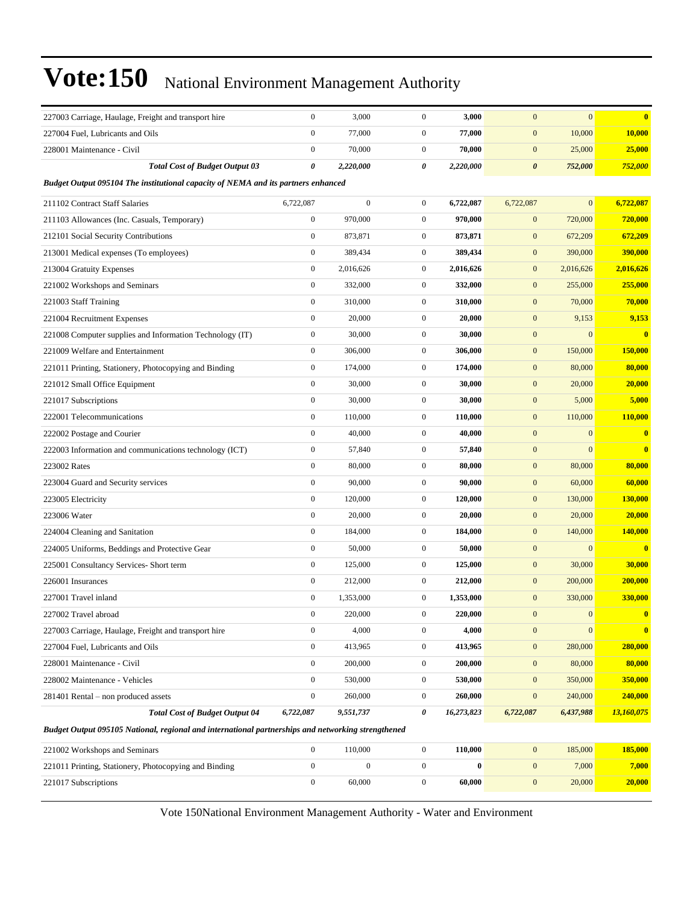| 227003 Carriage, Haulage, Freight and transport hire                                               | $\boldsymbol{0}$ | 3,000            | $\boldsymbol{0}$ | 3,000      | $\mathbf{0}$          | $\mathbf{0}$     | $\mathbf{0}$            |
|----------------------------------------------------------------------------------------------------|------------------|------------------|------------------|------------|-----------------------|------------------|-------------------------|
| 227004 Fuel, Lubricants and Oils                                                                   | $\boldsymbol{0}$ | 77,000           | $\boldsymbol{0}$ | 77,000     | $\boldsymbol{0}$      | 10,000           | 10,000                  |
| 228001 Maintenance - Civil                                                                         | $\boldsymbol{0}$ | 70,000           | $\boldsymbol{0}$ | 70,000     | $\mathbf{0}$          | 25,000           | 25,000                  |
| <b>Total Cost of Budget Output 03</b>                                                              | 0                | 2,220,000        | 0                | 2,220,000  | $\boldsymbol{\theta}$ | 752,000          | 752,000                 |
| Budget Output 095104 The institutional capacity of NEMA and its partners enhanced                  |                  |                  |                  |            |                       |                  |                         |
| 211102 Contract Staff Salaries                                                                     | 6,722,087        | $\boldsymbol{0}$ | $\mathbf{0}$     | 6,722,087  | 6,722,087             | $\mathbf{0}$     | 6,722,087               |
| 211103 Allowances (Inc. Casuals, Temporary)                                                        | $\boldsymbol{0}$ | 970,000          | $\boldsymbol{0}$ | 970,000    | $\boldsymbol{0}$      | 720,000          | 720,000                 |
| 212101 Social Security Contributions                                                               | $\boldsymbol{0}$ | 873,871          | $\mathbf{0}$     | 873,871    | $\mathbf{0}$          | 672,209          | 672,209                 |
| 213001 Medical expenses (To employees)                                                             | $\boldsymbol{0}$ | 389,434          | $\mathbf{0}$     | 389,434    | $\mathbf{0}$          | 390,000          | 390,000                 |
| 213004 Gratuity Expenses                                                                           | $\boldsymbol{0}$ | 2,016,626        | $\mathbf{0}$     | 2,016,626  | $\boldsymbol{0}$      | 2,016,626        | 2,016,626               |
| 221002 Workshops and Seminars                                                                      | $\boldsymbol{0}$ | 332,000          | $\mathbf{0}$     | 332,000    | $\mathbf{0}$          | 255,000          | 255,000                 |
| 221003 Staff Training                                                                              | $\boldsymbol{0}$ | 310,000          | $\mathbf{0}$     | 310,000    | $\mathbf{0}$          | 70,000           | 70,000                  |
| 221004 Recruitment Expenses                                                                        | $\boldsymbol{0}$ | 20,000           | $\mathbf{0}$     | 20,000     | $\boldsymbol{0}$      | 9,153            | 9,153                   |
| 221008 Computer supplies and Information Technology (IT)                                           | $\boldsymbol{0}$ | 30,000           | $\boldsymbol{0}$ | 30,000     | $\mathbf{0}$          | $\mathbf{0}$     | $\bf{0}$                |
| 221009 Welfare and Entertainment                                                                   | $\boldsymbol{0}$ | 306,000          | $\boldsymbol{0}$ | 306,000    | $\boldsymbol{0}$      | 150,000          | 150,000                 |
| 221011 Printing, Stationery, Photocopying and Binding                                              | $\boldsymbol{0}$ | 174,000          | $\mathbf{0}$     | 174,000    | $\boldsymbol{0}$      | 80,000           | 80,000                  |
| 221012 Small Office Equipment                                                                      | $\boldsymbol{0}$ | 30,000           | $\boldsymbol{0}$ | 30,000     | $\mathbf{0}$          | 20,000           | 20,000                  |
| 221017 Subscriptions                                                                               | $\boldsymbol{0}$ | 30,000           | $\mathbf{0}$     | 30,000     | $\mathbf{0}$          | 5,000            | 5,000                   |
| 222001 Telecommunications                                                                          | $\boldsymbol{0}$ | 110,000          | $\boldsymbol{0}$ | 110,000    | $\mathbf{0}$          | 110,000          | 110,000                 |
| 222002 Postage and Courier                                                                         | $\boldsymbol{0}$ | 40,000           | $\boldsymbol{0}$ | 40,000     | $\boldsymbol{0}$      | $\mathbf{0}$     | $\mathbf{0}$            |
| 222003 Information and communications technology (ICT)                                             | $\boldsymbol{0}$ | 57,840           | $\mathbf{0}$     | 57,840     | $\mathbf{0}$          | $\mathbf{0}$     | $\bf{0}$                |
| 223002 Rates                                                                                       | $\boldsymbol{0}$ | 80,000           | $\boldsymbol{0}$ | 80,000     | $\mathbf{0}$          | 80,000           | 80,000                  |
| 223004 Guard and Security services                                                                 | $\boldsymbol{0}$ | 90,000           | $\mathbf{0}$     | 90,000     | $\boldsymbol{0}$      | 60,000           | 60,000                  |
| 223005 Electricity                                                                                 | $\boldsymbol{0}$ | 120,000          | $\boldsymbol{0}$ | 120,000    | $\mathbf{0}$          | 130,000          | 130,000                 |
| 223006 Water                                                                                       | $\boldsymbol{0}$ | 20,000           | $\boldsymbol{0}$ | 20,000     | $\boldsymbol{0}$      | 20,000           | 20,000                  |
| 224004 Cleaning and Sanitation                                                                     | $\boldsymbol{0}$ | 184,000          | $\mathbf{0}$     | 184,000    | $\mathbf{0}$          | 140,000          | 140,000                 |
| 224005 Uniforms, Beddings and Protective Gear                                                      | $\boldsymbol{0}$ | 50,000           | $\mathbf{0}$     | 50,000     | $\mathbf{0}$          | $\mathbf{0}$     | $\bf{0}$                |
| 225001 Consultancy Services- Short term                                                            | $\boldsymbol{0}$ | 125,000          | $\mathbf{0}$     | 125,000    | $\boldsymbol{0}$      | 30,000           | 30,000                  |
| 226001 Insurances                                                                                  | $\boldsymbol{0}$ | 212,000          | $\boldsymbol{0}$ | 212,000    | $\mathbf{0}$          | 200,000          | 200,000                 |
| 227001 Travel inland                                                                               | $\boldsymbol{0}$ | 1,353,000        | $\boldsymbol{0}$ | 1,353,000  | $\boldsymbol{0}$      | 330,000          | 330,000                 |
| 227002 Travel abroad                                                                               | $\mathbf{0}$     | 220,000          | $\mathbf{0}$     | 220,000    | $\mathbf{0}$          | $\mathbf{0}$     | $\overline{\mathbf{0}}$ |
| 227003 Carriage, Haulage, Freight and transport hire                                               | $\boldsymbol{0}$ | 4,000            | $\boldsymbol{0}$ | 4,000      | $\mathbf{0}$          | $\boldsymbol{0}$ | $\bf{0}$                |
| 227004 Fuel, Lubricants and Oils                                                                   | $\boldsymbol{0}$ | 413,965          | $\boldsymbol{0}$ | 413,965    | $\boldsymbol{0}$      | 280,000          | 280,000                 |
| 228001 Maintenance - Civil                                                                         | $\boldsymbol{0}$ | 200,000          | $\mathbf{0}$     | 200,000    | $\mathbf{0}$          | 80,000           | 80,000                  |
| 228002 Maintenance - Vehicles                                                                      | $\boldsymbol{0}$ | 530,000          | $\boldsymbol{0}$ | 530,000    | $\boldsymbol{0}$      | 350,000          | 350,000                 |
| 281401 Rental - non produced assets                                                                | $\boldsymbol{0}$ | 260,000          | $\boldsymbol{0}$ | 260,000    | $\boldsymbol{0}$      | 240,000          | 240,000                 |
| <b>Total Cost of Budget Output 04</b>                                                              | 6,722,087        | 9,551,737        | 0                | 16,273,823 | 6,722,087             | 6,437,988        | 13,160,075              |
| Budget Output 095105 National, regional and international partnerships and networking strengthened |                  |                  |                  |            |                       |                  |                         |
| 221002 Workshops and Seminars                                                                      | $\boldsymbol{0}$ | 110,000          | $\boldsymbol{0}$ | 110,000    | $\boldsymbol{0}$      | 185,000          | 185,000                 |
| 221011 Printing, Stationery, Photocopying and Binding                                              | $\boldsymbol{0}$ | $\boldsymbol{0}$ | $\mathbf{0}$     | $\bf{0}$   | $\mathbf{0}$          | 7,000            | 7,000                   |
| 221017 Subscriptions                                                                               | $\boldsymbol{0}$ | 60,000           | $\boldsymbol{0}$ | 60,000     | $\boldsymbol{0}$      | 20,000           | 20,000                  |
|                                                                                                    |                  |                  |                  |            |                       |                  |                         |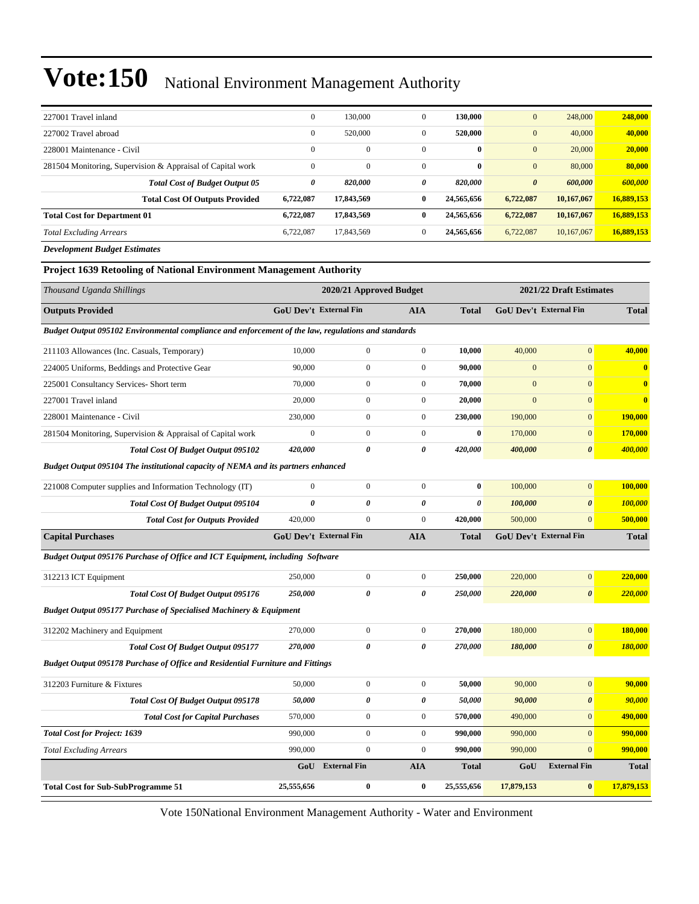| 227001 Travel inland                                       | $\mathbf{0}$ | 130,000      | $\mathbf{0}$ | 130,000      | $\mathbf{0}$          | 248,000    | 248,000    |
|------------------------------------------------------------|--------------|--------------|--------------|--------------|-----------------------|------------|------------|
| 227002 Travel abroad                                       | $\mathbf{0}$ | 520,000      | $\mathbf{0}$ | 520,000      | $\mathbf{0}$          | 40,000     | 40,000     |
| 228001 Maintenance - Civil                                 | $\mathbf{0}$ | $\mathbf{0}$ | $\mathbf{0}$ | $\mathbf{0}$ | $\mathbf{0}$          | 20,000     | 20,000     |
| 281504 Monitoring, Supervision & Appraisal of Capital work | $\mathbf{0}$ | $\mathbf{0}$ | $\mathbf{0}$ | $\mathbf{0}$ | $\mathbf{0}$          | 80,000     | 80,000     |
| <b>Total Cost of Budget Output 05</b>                      | 0            | 820,000      | 0            | 820,000      | $\boldsymbol{\theta}$ | 600.000    | 600,000    |
| <b>Total Cost Of Outputs Provided</b>                      | 6,722,087    | 17,843,569   | $\bf{0}$     | 24.565,656   | 6,722,087             | 10,167,067 | 16,889,153 |
| <b>Total Cost for Department 01</b>                        | 6,722,087    | 17,843,569   | $\bf{0}$     | 24,565,656   | 6,722,087             | 10,167,067 | 16,889,153 |
| <b>Total Excluding Arrears</b>                             | 6.722,087    | 17,843,569   | $\mathbf{0}$ | 24,565,656   | 6,722,087             | 10.167,067 | 16,889,153 |
| <b>Development Budget Estimates</b>                        |              |              |              |              |                       |            |            |

#### **Project 1639 Retooling of National Environment Management Authority**

| Thousand Uganda Shillings                                                                           |                               | 2020/21 Approved Budget |                       |                       |                | 2021/22 Draft Estimates       |                         |
|-----------------------------------------------------------------------------------------------------|-------------------------------|-------------------------|-----------------------|-----------------------|----------------|-------------------------------|-------------------------|
| <b>Outputs Provided</b>                                                                             | <b>GoU Dev't External Fin</b> |                         | <b>AIA</b>            | <b>Total</b>          |                | <b>GoU Dev't External Fin</b> | <b>Total</b>            |
| Budget Output 095102 Environmental compliance and enforcement of the law, regulations and standards |                               |                         |                       |                       |                |                               |                         |
| 211103 Allowances (Inc. Casuals, Temporary)                                                         | 10,000                        | $\boldsymbol{0}$        | $\boldsymbol{0}$      | 10,000                | 40,000         | $\mathbf{0}$                  | 40,000                  |
| 224005 Uniforms, Beddings and Protective Gear                                                       | 90,000                        | $\boldsymbol{0}$        | $\mathbf{0}$          | 90,000                | $\mathbf{0}$   | $\mathbf{0}$                  | $\overline{\mathbf{0}}$ |
| 225001 Consultancy Services- Short term                                                             | 70,000                        | $\boldsymbol{0}$        | $\mathbf{0}$          | 70,000                | $\overline{0}$ | $\overline{0}$                | $\overline{\mathbf{0}}$ |
| 227001 Travel inland                                                                                | 20,000                        | $\boldsymbol{0}$        | $\mathbf{0}$          | 20,000                | $\overline{0}$ | $\mathbf{0}$                  | $\bf{0}$                |
| 228001 Maintenance - Civil                                                                          | 230,000                       | $\boldsymbol{0}$        | $\mathbf{0}$          | 230,000               | 190,000        | $\mathbf{0}$                  | 190,000                 |
| 281504 Monitoring, Supervision & Appraisal of Capital work                                          | $\mathbf{0}$                  | $\boldsymbol{0}$        | $\mathbf{0}$          | $\bf{0}$              | 170,000        | $\mathbf{0}$                  | 170,000                 |
| Total Cost Of Budget Output 095102                                                                  | 420,000                       | 0                       | 0                     | 420,000               | 400,000        | $\boldsymbol{\theta}$         | 400,000                 |
| Budget Output 095104 The institutional capacity of NEMA and its partners enhanced                   |                               |                         |                       |                       |                |                               |                         |
| 221008 Computer supplies and Information Technology (IT)                                            | $\overline{0}$                | $\boldsymbol{0}$        | $\boldsymbol{0}$      | $\bf{0}$              | 100,000        | $\mathbf{0}$                  | 100,000                 |
| Total Cost Of Budget Output 095104                                                                  | $\theta$                      | 0                       | $\boldsymbol{\theta}$ | $\boldsymbol{\theta}$ | 100,000        | $\boldsymbol{\theta}$         | 100,000                 |
| <b>Total Cost for Outputs Provided</b>                                                              | 420,000                       | $\boldsymbol{0}$        | $\boldsymbol{0}$      | 420,000               | 500,000        | $\mathbf{0}$                  | 500,000                 |
| <b>Capital Purchases</b>                                                                            | <b>GoU Dev't External Fin</b> |                         | <b>AIA</b>            | <b>Total</b>          |                | GoU Dev't External Fin        | <b>Total</b>            |
| Budget Output 095176 Purchase of Office and ICT Equipment, including Software                       |                               |                         |                       |                       |                |                               |                         |
| 312213 ICT Equipment                                                                                | 250,000                       | $\boldsymbol{0}$        | $\boldsymbol{0}$      | 250,000               | 220,000        | $\overline{0}$                | 220,000                 |
| Total Cost Of Budget Output 095176                                                                  | 250,000                       | $\theta$                | 0                     | 250,000               | 220,000        | $\boldsymbol{\theta}$         | 220,000                 |
| <b>Budget Output 095177 Purchase of Specialised Machinery &amp; Equipment</b>                       |                               |                         |                       |                       |                |                               |                         |
| 312202 Machinery and Equipment                                                                      | 270,000                       | $\boldsymbol{0}$        | $\boldsymbol{0}$      | 270,000               | 180,000        | $\overline{0}$                | 180,000                 |
| Total Cost Of Budget Output 095177                                                                  | 270,000                       | 0                       | 0                     | 270,000               | 180,000        | $\boldsymbol{\theta}$         | 180,000                 |
| <b>Budget Output 095178 Purchase of Office and Residential Furniture and Fittings</b>               |                               |                         |                       |                       |                |                               |                         |
| 312203 Furniture & Fixtures                                                                         | 50,000                        | $\boldsymbol{0}$        | $\boldsymbol{0}$      | 50,000                | 90,000         | $\mathbf{0}$                  | 90,000                  |
| Total Cost Of Budget Output 095178                                                                  | 50,000                        | $\boldsymbol{\theta}$   | $\boldsymbol{\theta}$ | 50,000                | 90,000         | $\boldsymbol{\theta}$         | 90,000                  |
| <b>Total Cost for Capital Purchases</b>                                                             | 570,000                       | $\boldsymbol{0}$        | $\boldsymbol{0}$      | 570,000               | 490,000        | $\mathbf{0}$                  | 490,000                 |
| <b>Total Cost for Project: 1639</b>                                                                 | 990,000                       | $\boldsymbol{0}$        | $\mathbf{0}$          | 990,000               | 990,000        | $\overline{0}$                | 990,000                 |
| <b>Total Excluding Arrears</b>                                                                      | 990,000                       | $\overline{0}$          | $\mathbf{0}$          | 990,000               | 990,000        | $\overline{0}$                | 990,000                 |
|                                                                                                     | GoU                           | <b>External Fin</b>     | <b>AIA</b>            | <b>Total</b>          | GoU            | <b>External Fin</b>           | <b>Total</b>            |
| <b>Total Cost for Sub-SubProgramme 51</b>                                                           | 25,555,656                    | $\bf{0}$                | $\bf{0}$              | 25,555,656            | 17,879,153     | $\bf{0}$                      | 17,879,153              |